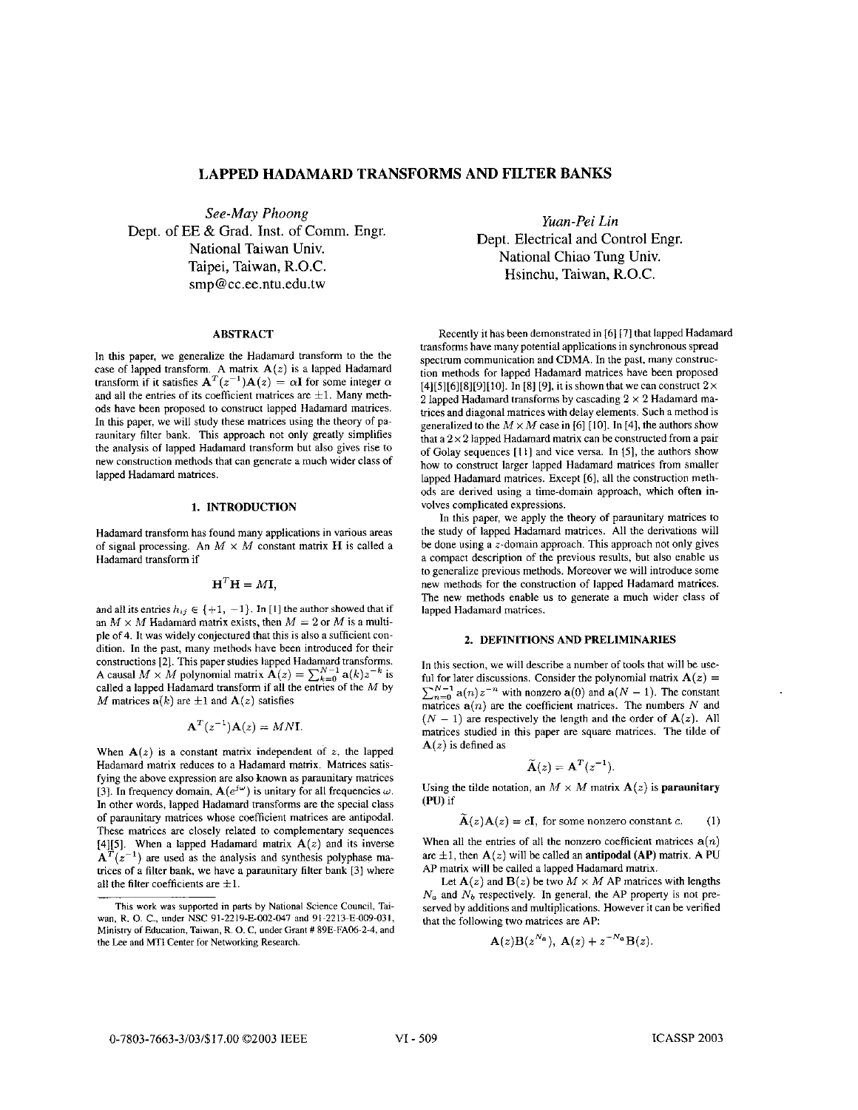# **LAPPED HADAMARD TRANSFORMS AND FILTER BANKS**

*See-May Phoong*  Dept. of EE & Grad. Inst. of Comm. Engr. National Taiwan Univ. Taipei, Taiwan, R.O.C. smp@cc.ee.ntu.edu.tw

# **ABSTRACT**

In this paper, we generalize the Hadamard transform to the the case of lapped transform.  $A$  matrix  $A(z)$  is a lapped Hadamard transform if it satisfies  $A^{T}(z^{-1})A(z) = \alpha I$  for some integer  $\alpha$ and all the entries of its coefficient matrices are  $\pm 1$ . Many methods have been proposed to construct lapped Hadamard matrices. In this paper, we will study these matrices using the theory of paraunitary filter bank. This approach not only greatly simplifies the analysis of lapped Hadamard transform but also gives rise to new construction methods that can generate **a** much wider class of lapped Hadamard matrices.

## **1. INTRODUCTION**

Hadamard transform has found many applications in various areas of signal processing. An  $M \times M$  constant matrix **H** is called a Hadamard transform if

$$
\mathbf{H}^T \mathbf{H} = M \mathbf{I},
$$

and all its entries  $h_{ij} \in \{+1, -1\}$ . In [1] the author showed that if an  $M \times M$  Hadamard matrix exists, then  $M = 2$  or M is a multiple of **4.** It was widely conjectured that this is also a sufficient condition. In the past, many methods have been introduced for their constructions **[2].** This paper studies lapped Hadamard transforms. **A** causal  $M \times M$  polynomial matrix  $\mathbf{A}(z) = \sum_{k=0}^{N-1} \mathbf{a}(k) z^{-k}$  is called a lapped Hadamard transform if all the entries of the *M* by *M* matrices  $a(k)$  are  $\pm 1$  and  $A(z)$  satisfies

$$
\mathbf{A}^T(z^{-1})\mathbf{A}(z) = MN\mathbf{I}.
$$

When  $A(z)$  is a constant matrix independent of *z*, the lapped Hadamard matrix reduces to a Hadamard matrix. Matrices satisfying **the** above expression are also known as paraunitary matrices [3]. In frequency domain,  $\mathbf{A}(e^{j\omega})$  is unitary for all frequencies  $\omega$ . In other words, lapped Hadamard transforms are the special class of paraunitary matrices whose coefficient matrices are antipodal. These matrices are closely related to complementary sequences [4][5]. When a lapped Hadamard matrix  $A(z)$  and its inverse  $A<sup>T</sup>(z<sup>-1</sup>)$  are used as the analysis and synthesis polyphase matrices of a filter bank, we have a paraunitary filter bank **131** where all the filter coefficients are  $\pm 1$ .

*Yuan-Pei Lin*  Dept. Electrical and Control Engr. National Chiao Tung Univ. Hsinchu, Taiwan, R.O.C.

Recently it has been demonstrated in **[6] [71** that lapped Hadamard transforms have many potential applications in synchronous spread spectrum communication and CDMA. In the past, many construction methods for lapped Hadamard matrices have been proposed  $[4] [5] [6] [8] [9] [10]$ . In [8] [9], it is shown that we can construct  $2 \times$ 2 lapped Hadamard transforms by cascading  $2 \times 2$  Hadamard matrices and diagonal matrices with delay elements. Such a method is generalized to the  $M \times M$  case in [6] [10]. In [4], the authors show that a *2* x **2** lapped Hadamard matrix can be constructed from a pair of Golay sequences [I **I]** and vice versa. In **[SI,** the authors show how to construct larger lapped Hadamard matrices from smaller lapped Hadamard matrices. Except **[6],** all the construction methods are derived using a time-domain approach, which often involves complicated expressions.

In this paper, we apply the theory of paraunitary matrices to the study of lapped Hadamard matrices. **All** the derivations will be done using a z-domain approach. This approach not only gives a compact description of the previous results, but also enable us to generalize previous methods. Moreover we will introduce some new methods for the construction of lapped Hadamard matrices. The new methods enable us to generate a much wider class of lapped Hadamard matrices.

#### **2. DEFINITIONS AND PRELIMINARIES**

In this section, we will describe a number of tools that will be useful for later discussions. Consider the polynomial matrix  $A(z) =$ ful for later discussions. Consider the polynomial matrix  $\mathbf{A}(z) = \sum_{n=0}^{N-1} \mathbf{a}(n) z^{-n}$  with nonzero  $\mathbf{a}(0)$  and  $\mathbf{a}(N-1)$ . The constant  $\sum_{n=0}^{\infty} a(n)$  are the coefficient matrices. The numbers *N* and  $(N - 1)$  are respectively the length and the order of  $A(z)$ . All matrices studied in this paper are square matrices. The tilde of  $A(z)$  is defined as

$$
\widetilde{\mathbf{A}}(z) = \mathbf{A}^T(z^{-1}).
$$

Using the tilde notation, an  $M \times M$  matrix  $A(z)$  is **paraunitary (PU)** if  $\tilde{\mathbf{r}}$ 

$$
\widetilde{\mathbf{A}}(z)\mathbf{A}(z) = c\mathbf{I}, \text{ for some nonzero constant } c. \tag{1}
$$

When all the entries of all the nonzero coefficient matrices  $a(n)$ are  $\pm 1$ , then  $A(z)$  will be called an **antipodal (AP)** matrix. A PU **AP** matrix will be called a lapped Hadamard matrix.

Let  $\mathbf{A}(z)$  and  $\mathbf{B}(z)$  be two  $M \times M$  AP matrices with lengths *N,* and *Nb* respectively. In general, the AP property is not preserved by additions and multiplications. However it can be verified that the following two matrices are **AP:** 

$$
\mathbf{A}(z)\mathbf{B}(z^{N_a}), \ \mathbf{A}(z) + z^{-N_a}\mathbf{B}(z).
$$

**This work was** supponed in **pans by** National Science Council, Tai**wan.** R. *0.* C., **under** NSC 91-2219-E-002-047 and 91~2213-8-009-031, Ministry **of** Education, **Taiwan,** R. *0.* C, under Grant # **89E-FA06-2-4, and**  the **Lee** and **MTI** Center **for** Networking **Research.**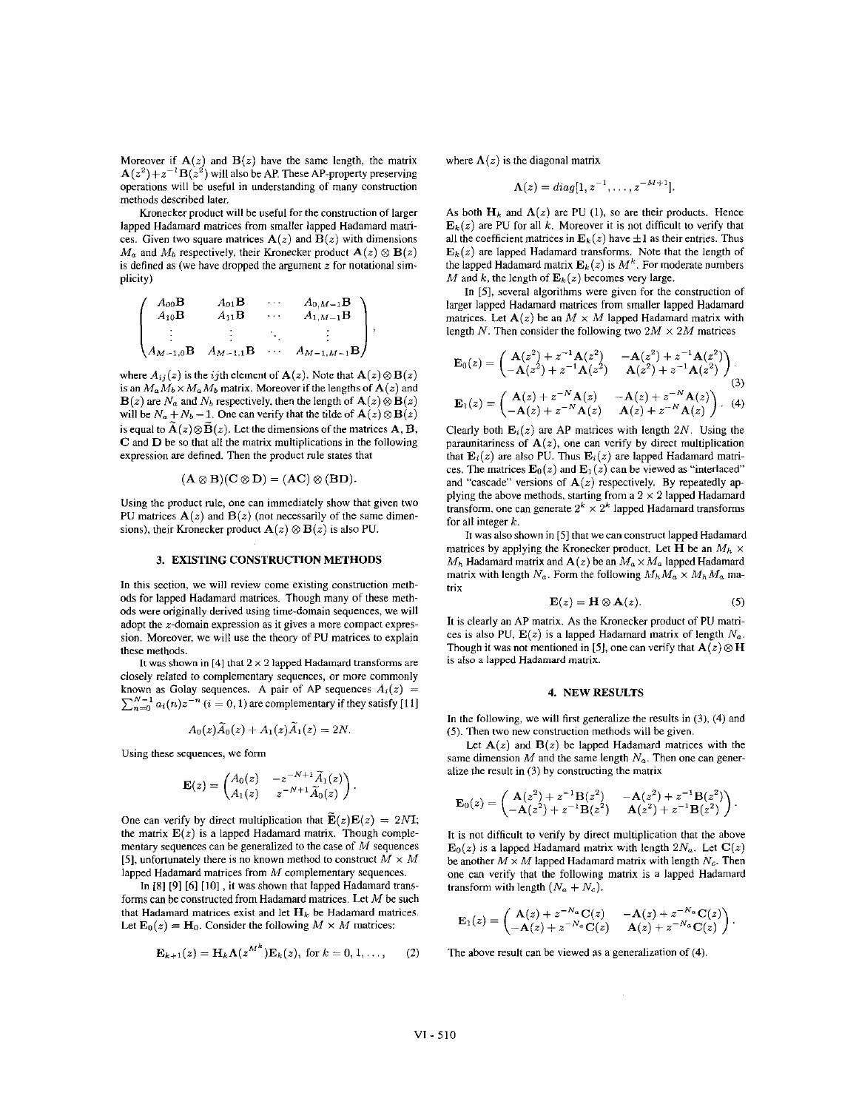Moreover if  $A(z)$  and  $B(z)$  have the same length, the matrix  $A(z^2)+z^{-1}B(z^2)$  will also be AP. These AP-property preserving operations will be useful in understanding of many construction methods described later,

Kronecker product will he useful for the construction of larger lapped Hadamard matrices from smaller lapped Hadamard matrices. Given two square matrices  $A(z)$  and  $B(z)$  with dimensions  $M_a$  and  $M_b$  respectively, their Kronecker product  $\mathbf{A}(z) \otimes \mathbf{B}(z)$ is defined as (we have dropped the argument  $z$  for notational simplicity)

$$
\begin{pmatrix} A_{00} \mathbf{B} & A_{01} \mathbf{B} & \cdots & A_{0,M-1} \mathbf{B} \\ A_{10} \mathbf{B} & A_{11} \mathbf{B} & \cdots & A_{1,M-1} \mathbf{B} \\ \vdots & \vdots & \ddots & \vdots \\ A_{M-1,0} \mathbf{B} & A_{M-1,1} \mathbf{B} & \cdots & A_{M-1,M-1} \mathbf{B} \end{pmatrix},
$$

where  $A_{ij}(z)$  is the *i*jth element of  $\mathbf{A}(z)$ . Note that  $\mathbf{A}(z) \otimes \mathbf{B}(z)$ is an  $M_a M_b \times M_a M_b$  matrix. Moreover if the lengths of  $A(z)$  and  $\mathbf{B}(z)$  are  $N_a$  and  $N_b$  respectively, then the length of  $\mathbf{A}(z) \otimes \mathbf{B}(z)$ will be  $N_a + N_b - 1$ . One can verify that the tilde of  $\mathbf{A}(z) \otimes \mathbf{B}(z)$ is equal to  $\mathbf{A}(z) \otimes \mathbf{B}(z)$ . Let the dimensions of the matrices  $\mathbf{A}, \mathbf{B}$ , **C** and D be so that all the matrix multiplications in the following expression **are** defined. Then the product **rule** states that

$$
(\mathbf{A}\otimes \mathbf{B})(\mathbf{C}\otimes \mathbf{D})=(\mathbf{AC})\otimes (\mathbf{BD}).
$$

Using the product rule, one can immediately show that given two PU matrices  $A(z)$  and  $B(z)$  (not necessarily of the same dimensions), their Kronecker product  $\mathbf{A}(z) \otimes \mathbf{B}(z)$  is also PU.

#### **3. EXISTING CONSTRUCTION METHODS**

In this section, we will review come existing construction methods for lapped Hadamard matrices. Though many of these methods were originally derived using time-domain sequences, we will adopt the  $z$ -domain expression as it gives a more compact expression. Moreover, we will use the theory of PU matrices to explain these methods.

It was **shown** in [4] **that** 2 x 2 lapped Hadamard transforms **are**  closely related *to* complementary sequences, or more commonly known as Golay sequences. A pair of AP sequences  $A_i(z)$  =  $\sum_{n=0}^{N-1} a_i(n) z^{-n}$   $(i = 0, 1)$  are complementary if they satisfy [11]

$$
A_0(z)\widetilde{A}_0(z)+A_1(z)\widetilde{A}_1(z)=2N.
$$

Using these sequences, we form

$$
\mathbf{E}(z) = \begin{pmatrix} A_0(z) & -z^{-N+1} \widetilde{A}_1(z) \\ A_1(z) & z^{-N+1} \widetilde{A}_0(z) \end{pmatrix}
$$

One can verify by direct multiplication that  $\mathbf{E}(z)\mathbf{E}(z) = 2N\mathbf{I}$ ; the matrix  $E(z)$  is a lapped Hadamard matrix. Though complementary sequences can be generalized to the case of *M* sequences [5], unfortunately there is no known method to construct  $M \times M$ lapped Hadamard matrices from M complementary sequences.

In **[SI [9] [6]** [IO] , it was shown that lapped Hadamard transforms can he constructed from Hadamard matrices. Let *M* be such that Hadamard matrices exist and let  $H_k$  be Hadamard matrices. Let  $\mathbf{E}_0(z) = \mathbf{H}_0$ . Consider the following  $M \times M$  matrices:

$$
\mathbf{E}_{k+1}(z) = \mathbf{H}_k \mathbf{\Lambda}(z^{M^k}) \mathbf{E}_k(z), \text{ for } k = 0, 1, \ldots,
$$
 (2)

where  $\Lambda(z)$  is the diagonal matrix

$$
\Lambda(z)=diag[1,z^{-1},\ldots,z^{-M+1}].
$$

As both  $H_k$  and  $\Lambda(z)$  are PU (1), so are their products. Hence  $\mathbf{E}_k(z)$  are PU for all k. Moreover it is not difficult to verify that all the coefficient matrices in  $\mathbf{E}_k(z)$  have  $\pm 1$  as their entries. Thus  $\mathbf{E}_k(z)$  are lapped Hadamard transforms. Note that the length of the lapped Hadamard matrix  $\mathbf{E}_k(z)$  is  $M^k$ . For moderate numbers *M* and *k*, the length of  $\mathbf{E}_k(z)$  becomes very large.

In **[SI,** several algorithms were given for the construction of larger lapped Hadamard matrices from smaller lapped Hadamard matrices. Let  $A(z)$  be an  $M \times M$  lapped Hadamard matrix with length *N*. Then consider the following two  $2M \times 2M$  matrices

$$
\mathbf{E}_0(z) = \begin{pmatrix} \mathbf{A}(z^2) + z^{-1} \mathbf{A}(z^2) & -\mathbf{A}(z^2) + z^{-1} \mathbf{A}(z^2) \\ -\mathbf{A}(z^2) + z^{-1} \mathbf{A}(z^2) & \mathbf{A}(z^2) + z^{-1} \mathbf{A}(z^2) \end{pmatrix}
$$
\n
$$
\mathbf{E}_1(z) = \begin{pmatrix} \mathbf{A}(z) + z^{-N} \mathbf{A}(z) & -\mathbf{A}(z) + z^{-N} \mathbf{A}(z) \\ -\mathbf{A}(z) + z^{-N} \mathbf{A}(z) & \mathbf{A}(z) + z^{-N} \mathbf{A}(z) \end{pmatrix}.
$$
\n(4)

Clearly both  $E_i(z)$  are AP matrices with length 2N. Using the paraunitariness of  $A(z)$ , one can verify by direct multiplication that  $\mathbf{E}_i(z)$  are also PU. Thus  $\mathbf{E}_i(z)$  are lapped Hadamard matrices. The matrices  $\mathbf{E}_0(z)$  and  $\mathbf{E}_1(z)$  can be viewed as "interlaced" and "cascade" versions of  $A(z)$  respectively. By repeatedly applying the above methods, starting from a  $2 \times 2$  lapped Hadamard transform, one can generate  $2^k \times 2^k$  lapped Hadamard transforms for all integer *k.* 

It was also shown in **[SI** that we can construct lapped Hadamard matrices by applying the Kronecker product. Let **H** be an  $M_h \times$  $M_h$  Hadamard matrix and  $\mathbf{A}(z)$  be an  $M_a \times M_a$  lapped Hadamard matrix with length  $N_a$ . Form the following  $M_h M_a \times M_h M_a$  matrix

$$
\mathbf{E}(z) = \mathbf{H} \otimes \mathbf{A}(z). \tag{5}
$$

It is clearly an AP matrix. As the Kronecker product of **PU** matrices is also PU,  $E(z)$  is a lapped Hadamard matrix of length  $N_a$ . Though it was not mentioned in [5], one can verify that  $A(z) \otimes H$ *is* **also** n lapped Hadamard **matrix.** 

## **4. NEW RESULTS**

In the following, we will first generalize the results in (3). **(4)** and *(5).* Then two new construction methods will he given.

Let  $A(z)$  and  $B(z)$  be lapped Hadamard matrices with the same dimension  $M$  and the same length  $N_a$ . Then one can generalize the result in (3) by constructing **the** matrix

$$
\mathbf{E}_0(z) = \begin{pmatrix} \mathbf{A}(z^2) + z^{-1} \mathbf{B}(z^2) & -\mathbf{A}(z^2) + z^{-1} \mathbf{B}(z^2) \\ -\mathbf{A}(z^2) + z^{-1} \mathbf{B}(z^2) & \mathbf{A}(z^2) + z^{-1} \mathbf{B}(z^2) \end{pmatrix}.
$$

It is not difficult to verify by direct multiplication that the above  $\mathbf{E}_0(z)$  is a lapped Hadamard matrix with length  $2N_a$ . Let  $\mathbf{C}(z)$ be another  $M \times M$  lapped Hadamard matrix with length  $N_c$ . Then one can verify that the following matrix is **a** lapped Hadamard transform with length  $(N_a + N_c)$ .

$$
\mathbf{E}_1(z) = \begin{pmatrix} \mathbf{A}(z) + z^{-N_a}\mathbf{C}(z) & -\mathbf{A}(z) + z^{-N_a}\mathbf{C}(z) \\ -\mathbf{A}(z) + z^{-N_a}\mathbf{C}(z) & \mathbf{A}(z) + z^{-N_a}\mathbf{C}(z) \end{pmatrix}.
$$

The above result can be viewed **as** a generalization of **(4).**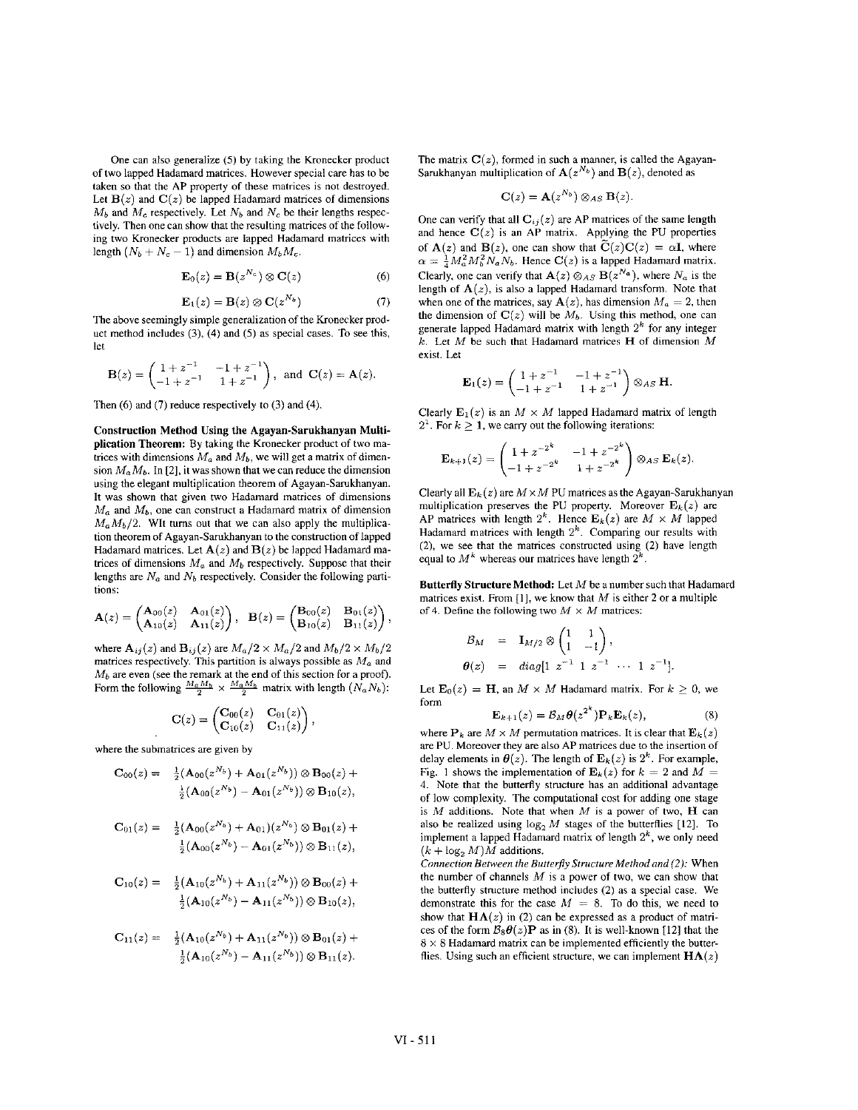One **can** also generalize *(5)* by taking the Kronecker product of two lapped Hadamard matrices. However special care has to he taken so that the AP property of these matrices is not destroyed. Let  $B(z)$  and  $C(z)$  be lapped Hadamard matrices of dimensions  $M_b$  and  $M_c$  respectively. Let  $N_b$  and  $N_c$  be their lengths respectively. Then one can show that the resulting matrices of the following two Kronecker products are lapped Hadamard matrices with length  $(N_b + N_c - 1)$  and dimension  $M_b M_c$ .

$$
\mathbf{E}_0(z) = \mathbf{B}(z^{N_c}) \otimes \mathbf{C}(z)
$$
 (6)

$$
\mathbf{E}_1(z) = \mathbf{B}(z) \otimes \mathbf{C}(z^{N_b}) \tag{7}
$$

The above seemingly simple generalization of the Kronecker product method includes **(3) (4)** and (5) as special cases. To see this, let

$$
\mathbf{B}(z) = \begin{pmatrix} 1 + z^{-1} & -1 + z^{-1} \\ -1 + z^{-1} & 1 + z^{-1} \end{pmatrix}, \text{ and } \mathbf{C}(z) = \mathbf{A}(z).
$$

Then **(6)** and **(7)** reduce respectively to (3) and **(4).** 

**Construction Method Using the Agayan-Sarukhanyan Multiplication Theorem:** By taking the Kronecker product of two matrices with dimensions  $M_a$  and  $M_b$ , we will get a matrix of dimension  $M_a M_b$ . In [2], it was shown that we can reduce the dimension using the elegant multiplication theorem of Agayan-Sarukhanyan. It was shown that given two Hadamard matrices of dimensions  $M_a$  and  $M_b$ , one can construct a Hadamard matrix of dimension  $M_a M_b/2$ . WIt turns out that we can also apply the multiplication theorem of Agayan-Sarukhanyan to the construction of lapped Hadamard matrices. Let  $A(z)$  and  $B(z)$  be lapped Hadamard matrices of dimensions  $M_a$  and  $M_b$  respectively. Suppose that their lengths are *N,* and *Nb* respectively. Consider the following partitions:

$$
\mathbf{A}(z) = \begin{pmatrix} \mathbf{A}_{00}(z) & \mathbf{A}_{01}(z) \\ \mathbf{A}_{10}(z) & \mathbf{A}_{11}(z) \end{pmatrix}, \quad \mathbf{B}(z) = \begin{pmatrix} \mathbf{B}_{00}(z) & \mathbf{B}_{01}(z) \\ \mathbf{B}_{10}(z) & \mathbf{B}_{11}(z) \end{pmatrix}
$$

where  $\mathbf{A}_{ij}(z)$  and  $\mathbf{B}_{ij}(z)$  are  $M_a/2 \times M_a/2$  and  $M_b/2 \times M_b/2$ matrices respectively. This partition **is** always possible as *A4a* and *Mb* are even (see the remark at the end of this section for a proof). Form the following  $\frac{M_a M_b}{2} \times \frac{M_a M_b}{2}$  matrix with length  $(N_a N_b)$ :

$$
C(z) = \begin{pmatrix} C_{00}(z) & C_{01}(z) \\ C_{10}(z) & C_{11}(z) \end{pmatrix},
$$

where the submatrices are given by

$$
C_{00}(z) = -\frac{1}{2}(\mathbf{A}_{00}(z^{N_b}) + \mathbf{A}_{01}(z^{N_b})) \otimes \mathbf{B}_{00}(z) + \frac{1}{2}(\mathbf{A}_{00}(z^{N_b}) - \mathbf{A}_{01}(z^{N_b})) \otimes \mathbf{B}_{10}(z),
$$

$$
\begin{array}{ll} \mathrm{C}_{01}(z)= & \frac{1}{2}(\mathrm{A}_{00}(z^{N_{b}})+\mathrm{A}_{01})(z^{N_{b}})\otimes \mathrm{B}_{01}(z)+\\ & \frac{1}{2}(\mathrm{A}_{00}(z^{N_{b}})-\mathrm{A}_{01}(z^{N_{b}}))\otimes \mathrm{B}_{11}(z), \end{array}
$$

$$
C_{10}(z) = \frac{1}{2} (A_{10}(z^{N_b}) + A_{11}(z^{N_b})) \otimes B_{00}(z) + \frac{1}{2} (A_{10}(z^{N_b}) - A_{11}(z^{N_b})) \otimes B_{10}(z),
$$

$$
C_{11}(z) = \frac{1}{2} (A_{10}(z^{N_b}) + A_{11}(z^{N_b})) \otimes B_{01}(z) + \frac{1}{2} (A_{10}(z^{N_b}) - A_{11}(z^{N_b})) \otimes B_{11}(z).
$$

The matrix  $C(z)$ , formed in such a manner, is called the Agayan-Sarukhanyan multiplication of  $A(z^{N_b})$  and  $B(z)$ , denoted as

$$
\mathbf{C}(z) = \mathbf{A}(z^{N_b}) \otimes_{AS} \mathbf{B}(z).
$$

One can verify that all  $C_{ij}(z)$  are AP matrices of the same length and hence  $C(z)$  is an AP matrix. Applying the PU properties of  $A(z)$  and  $B(z)$ , one can show that  $\tilde{C}(z)C(z) = \alpha I$ , where  $\alpha = \frac{1}{4} M_a^2 M_b^2 N_a N_b$ . Hence *C(z)* is a lapped Hadamard matrix. Clearly, one can verify that  $\mathbf{A}(z) \otimes_{AS} \mathbf{B}(z^{N_a})$ , where  $N_a$  is the length of  $A(z)$ , is also a lapped Hadamard transform. Note that when one of the matrices, say  $A(z)$ , has dimension  $M_a = 2$ , then the dimension of  $C(z)$  will be  $M<sub>b</sub>$ . Using this method, one can generate lapped Hadamard matrix with length *2k* for any integer *k.* Let *A4* **be** such that Hadamard matrices **H** of dimension *A4*  exist. Let

$$
\mathbf{E}_1(z) = \begin{pmatrix} 1 + z^{-1} & -1 + z^{-1} \\ -1 + z^{-1} & 1 + z^{-1} \end{pmatrix} \otimes_{AS} \mathbf{H}.
$$

Clearly  $E_1(z)$  is an  $M \times M$  lapped Hadamard matrix of length  $2<sup>1</sup>$ . For  $k \ge 1$ , we carry out the following iterations:

$$
\mathbf{E}_{k+1}(z) = \begin{pmatrix} 1 + z^{-2^k} & -1 + z^{-2^k} \\ -1 + z^{-2^k} & 1 + z^{-2^k} \end{pmatrix} \otimes_{AS} \mathbf{E}_k(z)
$$

Clearly all  $\mathbf{E}_k(z)$  are  $M \times M$  PU matrices as the Agayan-Sarukhanyan multiplication preserves the PU property. Moreover  $\mathbf{E}_k(z)$  are AP matrices with length  $2^k$ . Hence  $\mathbf{E}_k(z)$  are  $M \times M$  lapped Hadamard matrices with length *2k.* Comparing our results with (2), we see that the matrices constructed using **(2)** have length equal to  $M^k$  whereas our matrices have length  $2^k$ 

**Butterfly Structure Method: Let** *M* be a number such that Hadamard matrices exist. From [1], we know that  $M$  is either 2 or a multiple of 4. Define the following two  $M \times M$  matrices:

$$
\mathcal{B}_M = \mathbf{I}_{M/2} \otimes \begin{pmatrix} 1 & 1 \\ 1 & -1 \end{pmatrix}, \n\theta(z) = diag[1 \; z^{-1} \; 1 \; z^{-1} \; \cdots \; 1 \; z^{-1}].
$$

Let  $\mathbf{E}_0(z) = \mathbf{H}$ , an  $M \times M$  Hadamard matrix. For  $k \geq 0$ , we form

$$
\mathbf{E}_{k+1}(z) = \mathcal{B}_M \boldsymbol{\theta}(z^{2^k}) \mathbf{P}_k \mathbf{E}_k(z), \tag{8}
$$

where  $P_k$  are  $M \times M$  permutation matrices. It is clear that  $E_k(z)$ **are** PU. **Moreover** they are also AP matrices due to the insertion of delay elements in  $\theta(z)$ . The length of  $\mathbf{E}_k(z)$  is  $2^k$ . For example, Fig. 1 shows the implementation of  $\mathbf{E}_k(z)$  for  $k = 2$  and  $M =$ 4. Note that the butterfly structure has **an** additional advantage of low complexity. The computational cost for adding one stage is *M* additions. Note that when *A4* is a power of two, **H** can also be realized using  $\log_2 M$  stages of the butterflies [12]. To implement a lapped Hadamard matrix of length  $2<sup>k</sup>$ , we only need  $(k + \log_2 M)M$  additions.

*Connection Between the Butterfly Structure Method and (2):* When the number of channels *M* is a power of two, we can show that the butterfly structure method includes **(2)** as a special case. We demonstrate this for the case  $M = 8$ . To do this, we need to show that  $H\Lambda(z)$  in (2) can be expressed as a product of matrices of the form  $B_8\theta(z)$ **P** as in (8). It is well-known [12] that the 8 **x** 8 Hadamard matrix can be implemented efficiently the butterflies. Using such an efficient structure, we can implement  $H\Lambda(z)$